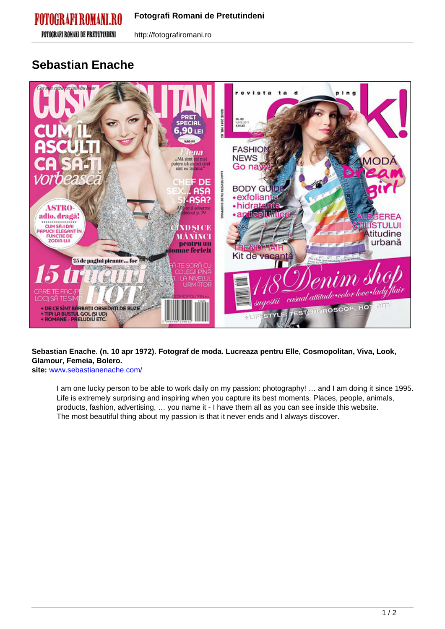**FOTOGRAFI ROMANI DE PRETUTINDENI** 

http://fotografiromani.ro

## **Sebastian Enache**



## **Sebastian Enache. (n. 10 apr 1972). Fotograf de moda. Lucreaza pentru Elle, Cosmopolitan, Viva, Look, Glamour, Femeia, Bolero.**

**site:** [www.sebastianenache.com/](http://www.sebastianenache.com/)

I am one lucky person to be able to work daily on my passion: photography! … and I am doing it since 1995. Life is extremely surprising and inspiring when you capture its best moments. Places, people, animals, products, fashion, advertising, … you name it - I have them all as you can see inside this website. The most beautiful thing about my passion is that it never ends and I always discover.